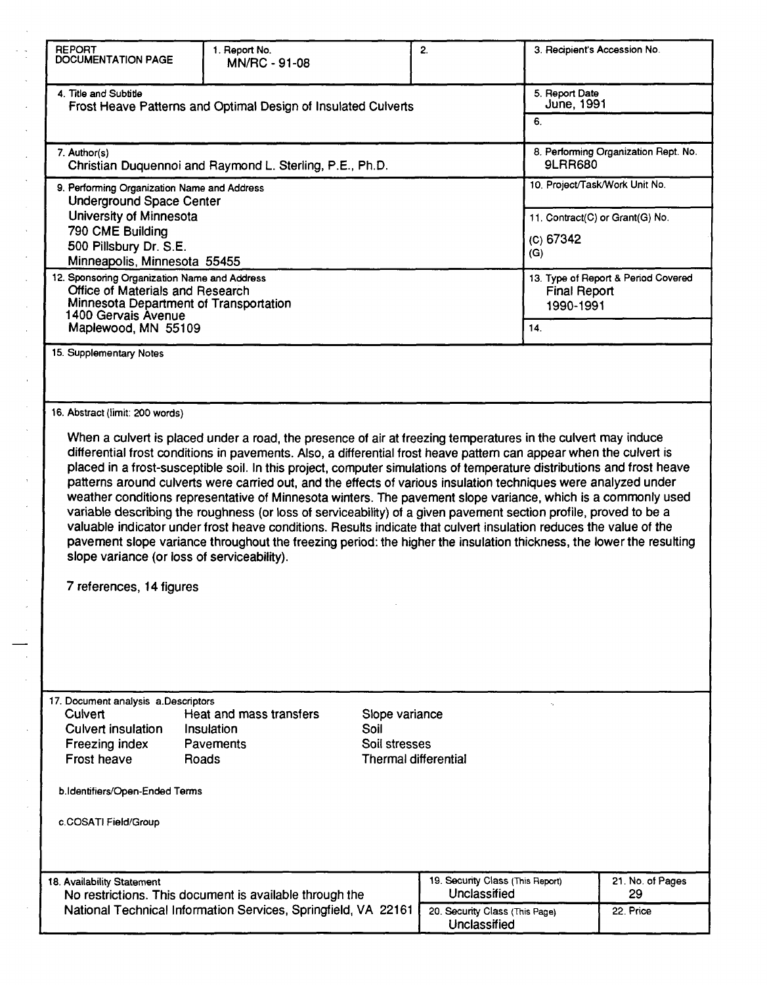| <b>DOCUMENTATION PAGE</b>                                                    | MN/RC - 91-08                                                                                                                                                                                                                           |                |                                                  |                                      |                                     |  |
|------------------------------------------------------------------------------|-----------------------------------------------------------------------------------------------------------------------------------------------------------------------------------------------------------------------------------------|----------------|--------------------------------------------------|--------------------------------------|-------------------------------------|--|
| 4. Title and Subtitle                                                        | Frost Heave Patterns and Optimal Design of Insulated Culverts                                                                                                                                                                           |                |                                                  | 5. Report Date<br>June, 1991         |                                     |  |
|                                                                              |                                                                                                                                                                                                                                         |                |                                                  | 6.                                   |                                     |  |
| 7. Author(s)                                                                 | Christian Duquennoi and Raymond L. Sterling, P.E., Ph.D.                                                                                                                                                                                |                | <b>9LRR680</b>                                   | 8. Performing Organization Rept. No. |                                     |  |
| 9. Performing Organization Name and Address                                  |                                                                                                                                                                                                                                         |                |                                                  |                                      | 10. Project/Task/Work Unit No.      |  |
| <b>Underground Space Center</b><br>University of Minnesota                   |                                                                                                                                                                                                                                         |                |                                                  |                                      | 11. Contract(C) or Grant(G) No.     |  |
| 790 CME Building                                                             |                                                                                                                                                                                                                                         |                |                                                  |                                      |                                     |  |
| 500 Pillsbury Dr. S.E.                                                       |                                                                                                                                                                                                                                         |                |                                                  | (C) 67342<br>(G)                     |                                     |  |
| Minneapolis, Minnesota 55455<br>12. Sponsoring Organization Name and Address |                                                                                                                                                                                                                                         |                |                                                  |                                      |                                     |  |
| Office of Materials and Research                                             |                                                                                                                                                                                                                                         |                |                                                  | <b>Final Report</b>                  | 13. Type of Report & Period Covered |  |
| 1400 Gervais Avenue                                                          | Minnesota Department of Transportation                                                                                                                                                                                                  |                |                                                  | 1990-1991                            |                                     |  |
| Maplewood, MN 55109                                                          |                                                                                                                                                                                                                                         |                |                                                  | 14.                                  |                                     |  |
| 15. Supplementary Notes                                                      |                                                                                                                                                                                                                                         |                |                                                  |                                      |                                     |  |
|                                                                              |                                                                                                                                                                                                                                         |                |                                                  |                                      |                                     |  |
| 16. Abstract (limit: 200 words)                                              |                                                                                                                                                                                                                                         |                |                                                  |                                      |                                     |  |
|                                                                              | When a culvert is placed under a road, the presence of air at freezing temperatures in the culvert may induce                                                                                                                           |                |                                                  |                                      |                                     |  |
|                                                                              |                                                                                                                                                                                                                                         |                |                                                  |                                      |                                     |  |
|                                                                              | differential frost conditions in pavements. Also, a differential frost heave pattern can appear when the culvert is                                                                                                                     |                |                                                  |                                      |                                     |  |
|                                                                              | placed in a frost-susceptible soil. In this project, computer simulations of temperature distributions and frost heave                                                                                                                  |                |                                                  |                                      |                                     |  |
|                                                                              | patterns around culverts were carried out, and the effects of various insulation techniques were analyzed under                                                                                                                         |                |                                                  |                                      |                                     |  |
|                                                                              | weather conditions representative of Minnesota winters. The pavement slope variance, which is a commonly used                                                                                                                           |                |                                                  |                                      |                                     |  |
|                                                                              | variable describing the roughness (or loss of serviceability) of a given pavement section profile, proved to be a<br>valuable indicator under frost heave conditions. Results indicate that culvert insulation reduces the value of the |                |                                                  |                                      |                                     |  |
|                                                                              | pavement slope variance throughout the freezing period: the higher the insulation thickness, the lower the resulting                                                                                                                    |                |                                                  |                                      |                                     |  |
|                                                                              | slope variance (or loss of serviceability).                                                                                                                                                                                             |                |                                                  |                                      |                                     |  |
| 7 references, 14 figures                                                     |                                                                                                                                                                                                                                         |                |                                                  |                                      |                                     |  |
|                                                                              |                                                                                                                                                                                                                                         |                |                                                  |                                      |                                     |  |
|                                                                              |                                                                                                                                                                                                                                         |                |                                                  |                                      |                                     |  |
|                                                                              |                                                                                                                                                                                                                                         |                |                                                  |                                      |                                     |  |
|                                                                              |                                                                                                                                                                                                                                         |                |                                                  |                                      |                                     |  |
| 17. Document analysis a Descriptors                                          |                                                                                                                                                                                                                                         |                |                                                  | ÷,                                   |                                     |  |
| Culvert                                                                      | Heat and mass transfers                                                                                                                                                                                                                 | Slope variance |                                                  |                                      |                                     |  |
| <b>Culvert insulation</b>                                                    | Insulation                                                                                                                                                                                                                              | Soil           |                                                  |                                      |                                     |  |
| Freezing index                                                               | <b>Pavements</b>                                                                                                                                                                                                                        | Soil stresses  |                                                  |                                      |                                     |  |
| <b>Frost heave</b>                                                           | Roads                                                                                                                                                                                                                                   |                | <b>Thermal differential</b>                      |                                      |                                     |  |
| b.Identifiers/Open-Ended Terms                                               |                                                                                                                                                                                                                                         |                |                                                  |                                      |                                     |  |
| c.COSATI Field/Group                                                         |                                                                                                                                                                                                                                         |                |                                                  |                                      |                                     |  |
|                                                                              |                                                                                                                                                                                                                                         |                |                                                  |                                      |                                     |  |
|                                                                              |                                                                                                                                                                                                                                         |                |                                                  |                                      |                                     |  |
| 18. Availability Statement                                                   | No restrictions. This document is available through the                                                                                                                                                                                 |                | 19. Security Class (This Report)<br>Unclassified |                                      | 21. No. of Pages<br>29              |  |
|                                                                              | National Technical Information Services, Springfield, VA 22161                                                                                                                                                                          |                | 20. Security Class (This Page)<br>Unclassified   |                                      | 22. Price                           |  |

 $\sim$  $\frac{1}{2}$ 

 $\mathbb{R}^2$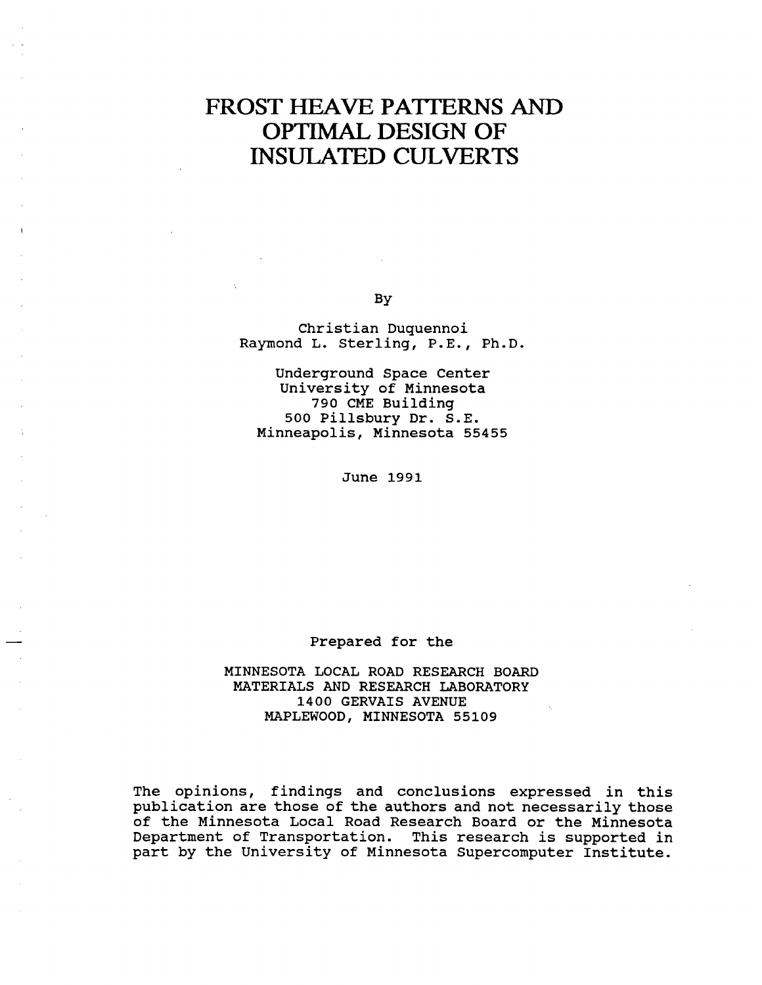# **FROST HEAVE PATTERNS AND OPTIMAL DESIGN OF INSULATED CULVERTS**

By

Christian Duquennoi Raymond L. Sterling, P.E., Ph.D.

Underground Space Center University of Minnesota **790** CME Building **500** Pillsbury Dr. **S.E.**  Minneapolis, Minnesota **55455** 

June **1991** 

#### Prepared for the

# MINNESOTA LOCAL ROAD RESEARCH BOARD MATERIALS AND RESEARCH LABORATORY **1400** GERVAIS AVENUE MAPLEWOOD, MINNESOTA **55109**

The opinions, findings and conclusions expressed in this publication are those of the authors and not necessarily those of the Minnesota Local Road Research Board or the Minnesota Department of Transportation. This research is supported in part by the University of Minnesota Supercomputer Institute.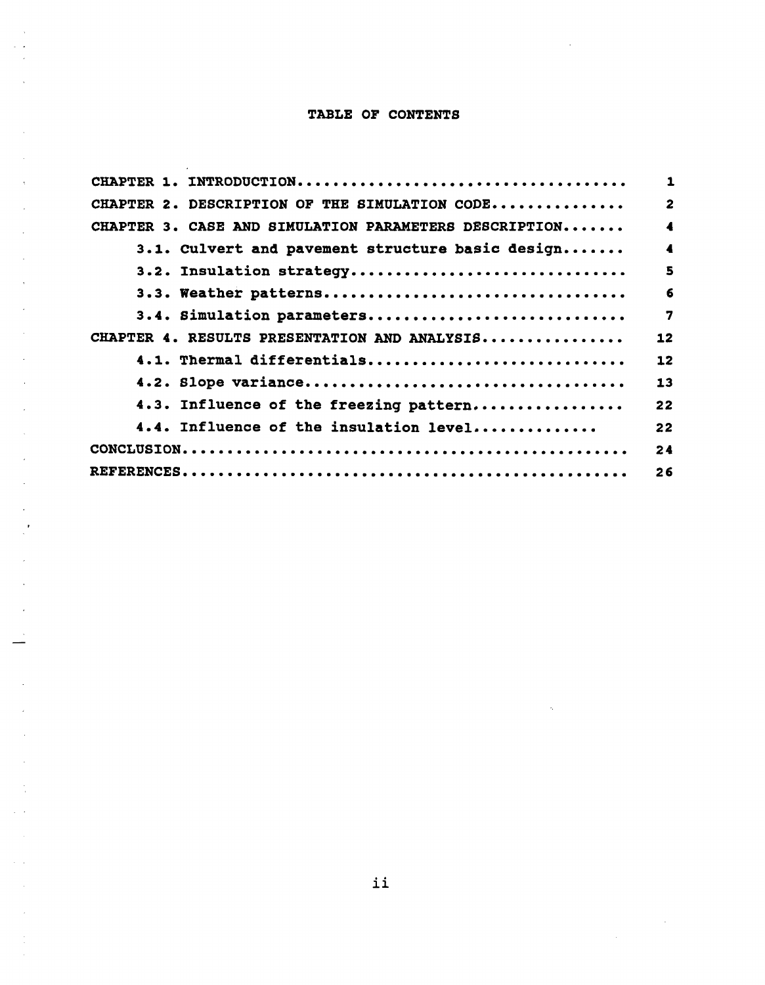# **TABLE OF CONTENTS**

 $\hat{\mathcal{L}}$ 

 $\sim 10$ 

|                                                                                                        | $\mathbf{1}$            |
|--------------------------------------------------------------------------------------------------------|-------------------------|
| CHAPTER 2. DESCRIPTION OF THE SIMULATION CODE                                                          | $\overline{\mathbf{2}}$ |
| CHAPTER 3. CASE AND SIMULATION PARAMETERS DESCRIPTION                                                  | $\blacktriangle$        |
| 3.1. Culvert and pavement structure basic design                                                       | $\blacktriangleleft$    |
| 3.2. Insulation strategy                                                                               | 5                       |
| 3.3. Weather patterns                                                                                  | 6                       |
| 3.4. Simulation parameters                                                                             | $\overline{7}$          |
| CHAPTER 4. RESULTS PRESENTATION AND ANALYSIS                                                           | 12                      |
| 4.1. Thermal differentials                                                                             | 12                      |
|                                                                                                        | 13                      |
| 4.3. Influence of the freezing pattern                                                                 | 22                      |
| 4.4. Influence of the insulation level                                                                 | 22                      |
| $\texttt{CONCLUSION}.\dots\dots\dots\dots\dots\dots\dots\dots\dots\dots\dots\dots\dots\dots\dots\dots$ | 24                      |
|                                                                                                        | 26                      |

 $\frac{1}{2}$  ,  $\frac{1}{2}$ 

 $\sim$   $\sim$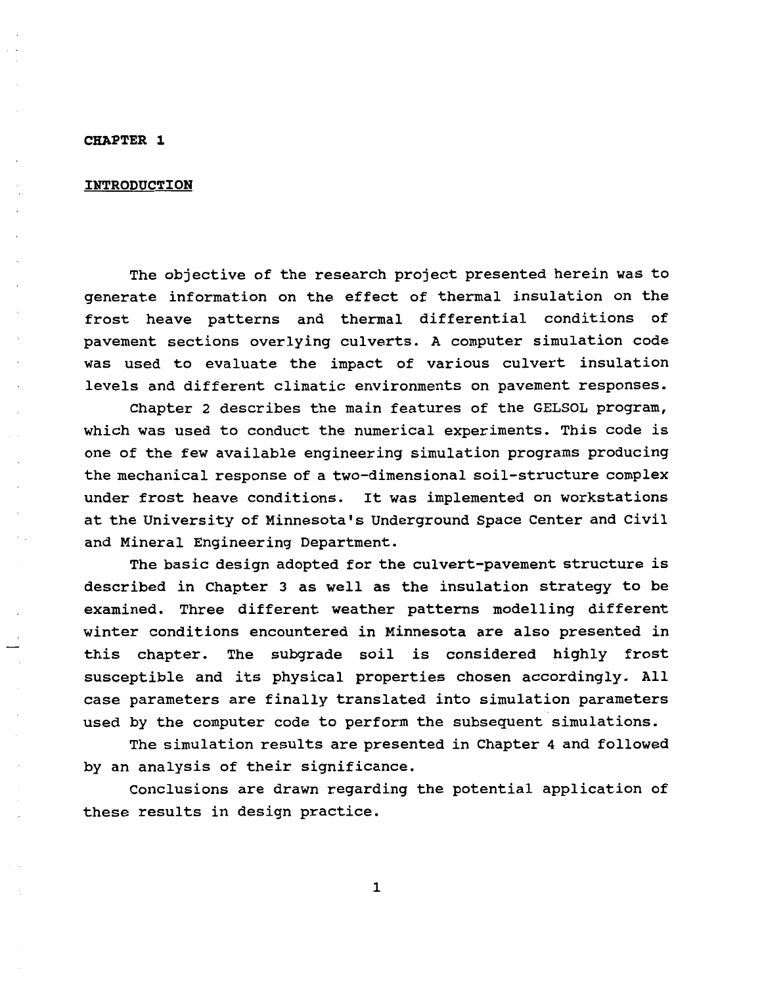### **CHAPTER 1**

#### **INTRODUCTION**

The objective of the research project presented herein was to generate information on the effect of thermal insulation on the frost heave patterns and thermal differential conditions of pavement sections overlying culverts. A computer simulation code was used to evaluate the impact of various culvert insulation levels and different climatic environments on pavement responses.

Chapter 2 describes the main features of the GELSOL program, which was used to conduct the numerical experiments. This code is one of the few available engineering simulation programs producing the mechanical response of a two-dimensional soil-structure complex under frost heave conditions. It was implemented on workstations at the University of Minnesota's Underground Space Center and Civil and Mineral Engineering Department.

The basic design adopted for the culvert-pavement structure is described in Chapter 3 as well as the insulation strategy to be examined. Three different weather patterns modelling different winter conditions encountered in Minnesota are also presented in this chapter. The subgrade soil is considered highly frost susceptible and its physical properties chosen accordingly. All case parameters are finally translated into simulation parameters used by the computer code to perform the subsequent simulations.

The simulation results are presented in Chapter **4** and followed by an analysis of their significance.

Conclusions are drawn regarding the potential application of these results in design practice.

 $\mathbf{1}$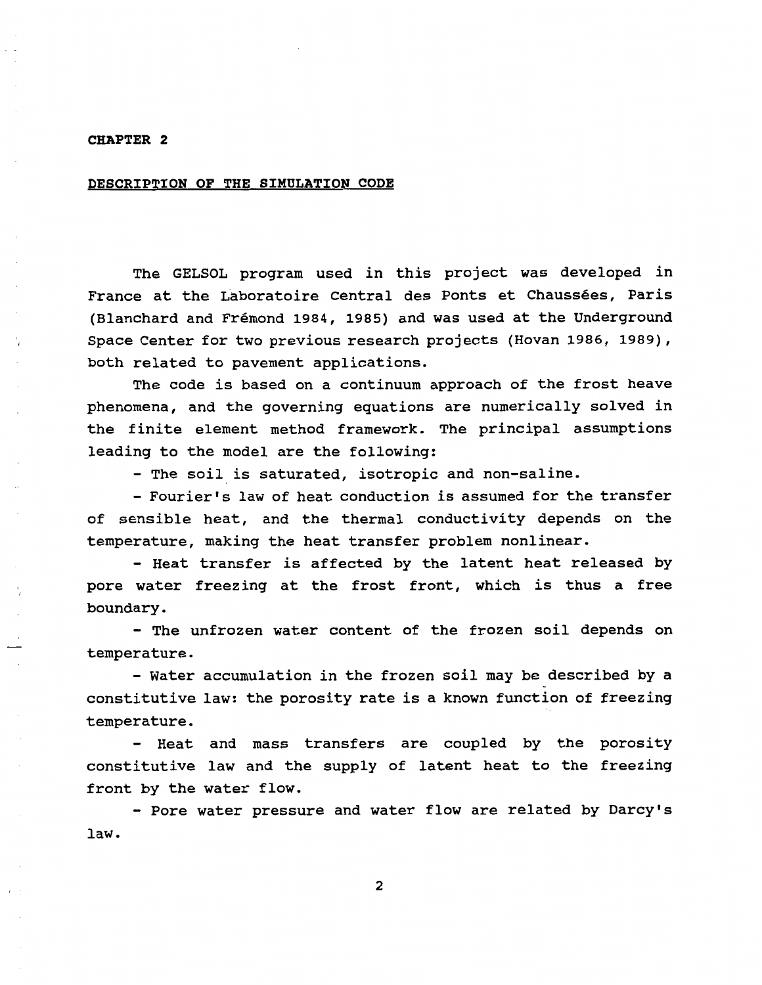#### **CHAPTER 2**

#### **DESCRIPTION OF THE SIMULATION CODE**

The **GELSOL** program used in this project was developed in France at the Laboratoire Central des Ponts et Chaussées, Paris (Blanchard and Frémond 1984, 1985) and was used at the Underground Space Center for two previous research projects (Hovan 1986, 1989) , both related to pavement applications.

The code is based on a continuum approach of the frost heave phenomena, and the governing equations are numerically solved in the finite element method framework. The principal assumptions leading to the model are the following:

- The soil is saturated, isotropic and non-saline.

- Fourier's law of heat conduction is assumed for the transfer of sensible heat, and the thermal conductivity depends on the temperature, making the heat transfer problem nonlinear.

- Heat transfer is affected by the latent heat released by pore water freezing at the frost front, which is thus a free boundary.

- The unfrozen water content of the frozen soil depends on temperature.

- Water accumulation in the frozen soil may be described by a constitutive law: the porosity rate is a known function of freezing temperature.

- Heat and mass transfers are coupled by the porosity constitutive law and the supply of latent heat to the freezing front by the water flow.

- Pore water pressure and water flow are related by Darcy's law.

 $\overline{2}$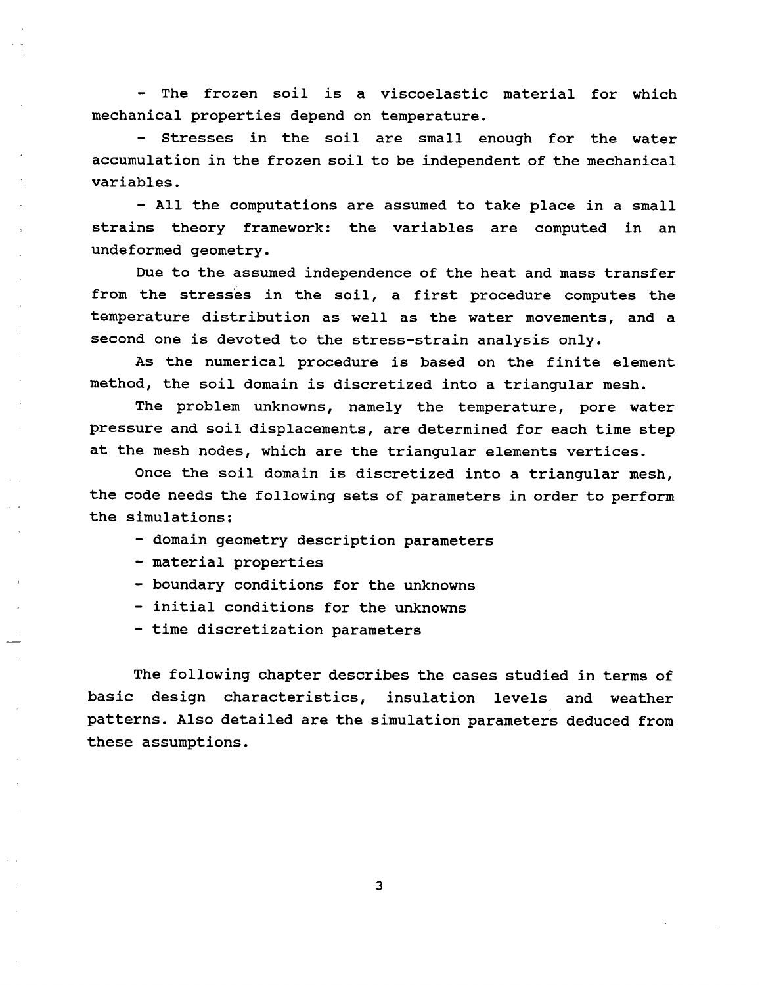- The frozen soil is a viscoelastic material for which mechanical properties depend on temperature.

- Stresses in the soil are small enough for the water accumulation in the frozen soil to be independent of the mechanical variables.

- All the computations are assumed to take place in a small strains theory framework: the variables are computed in an undeformed geometry.

Due to the assumed independence of the heat and mass transfer from the stresses in the soil, a first procedure computes the temperature distribution as well as the water movements, and a second one is devoted to the stress-strain analysis only.

As the numerical procedure is based on the finite element method, the soil domain is discretized into a triangular mesh.

The problem unknowns, namely the temperature, pore water pressure and soil displacements, are determined for each time step at the mesh nodes, which are the triangular elements vertices.

Once the soil domain is discretized into a triangular mesh, the code needs the following sets of parameters in order to perform the simulations:

- domain geometry description parameters
- material properties
- boundary conditions for the unknowns
- initial conditions for the unknowns
- time discretization parameters

The following chapter describes the cases studied in terms of basic design characteristics, insulation levels and weather patterns. Also detailed are the simulation parameters deduced from these assumptions.

 $\overline{\mathbf{3}}$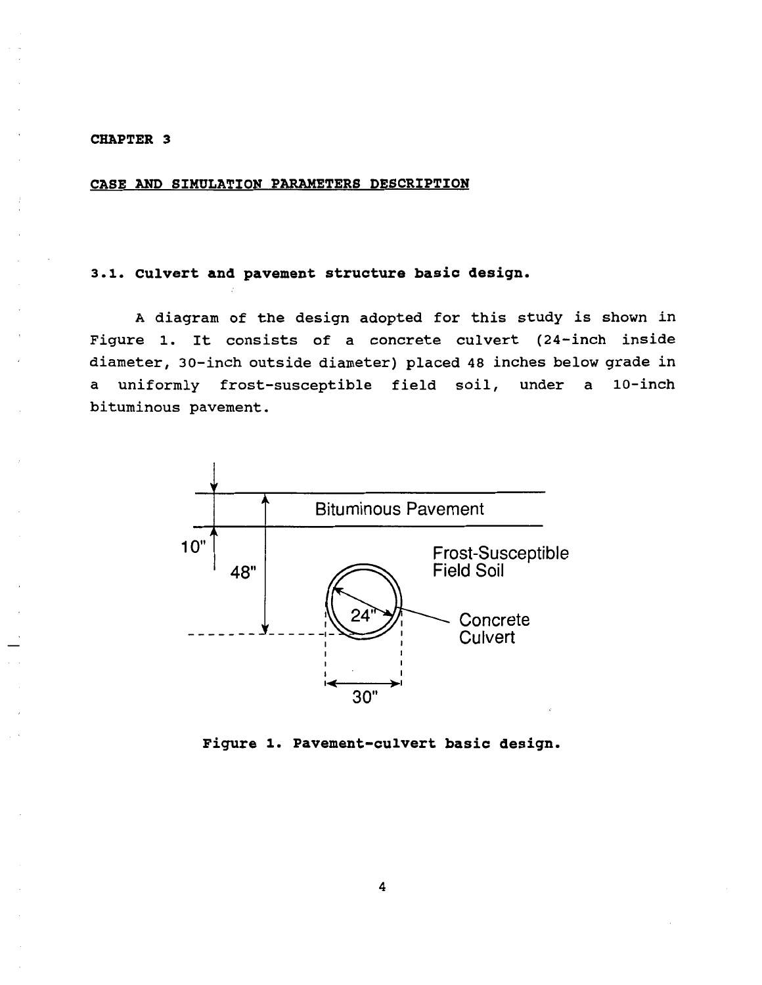#### **CHAPTER 3**

#### **CASE AND SIMULATION PARAMETERS DESCRIPTION**

#### **3.1. Culvert and pavement structure basic design.**

**A diagram of the design adopted for this study is shown in Figure 1. It consists of a concrete culvert (24-inch inside diameter, 30-inch outside diameter) placed 48 inches below grade in a uniformly frost-susceptible field soil, under a 10-inch bituminous pavement.** 



**Figure 1. Pavement-culvert basic design.**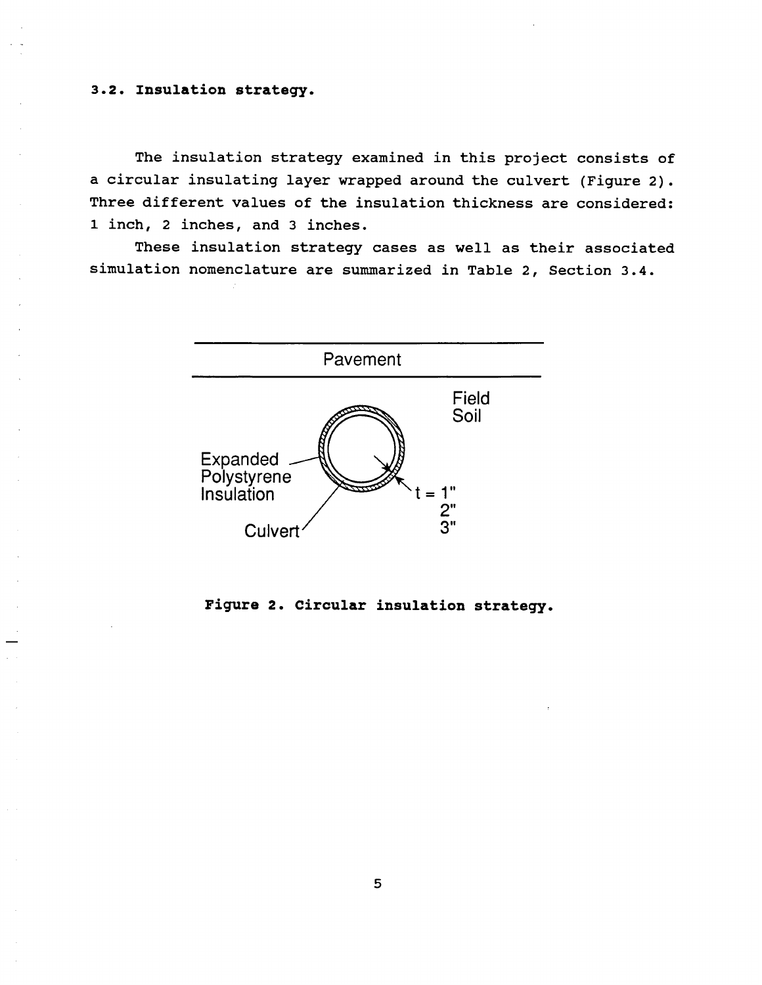# 3.2. Insulation strategy.

**The insulation strategy examined in this project consists of a circular insulating layer wrapped around the culvert (Figure 2). Three different values of the insulation thickness are considered: 1 inch, 2 inches, and 3 inches.** 

**These insulation strategy cases as well as their associated simulation nomenclature are summarized in Table 2, Section 3.4.** 



**Figure 2. Circular insulation strategy.**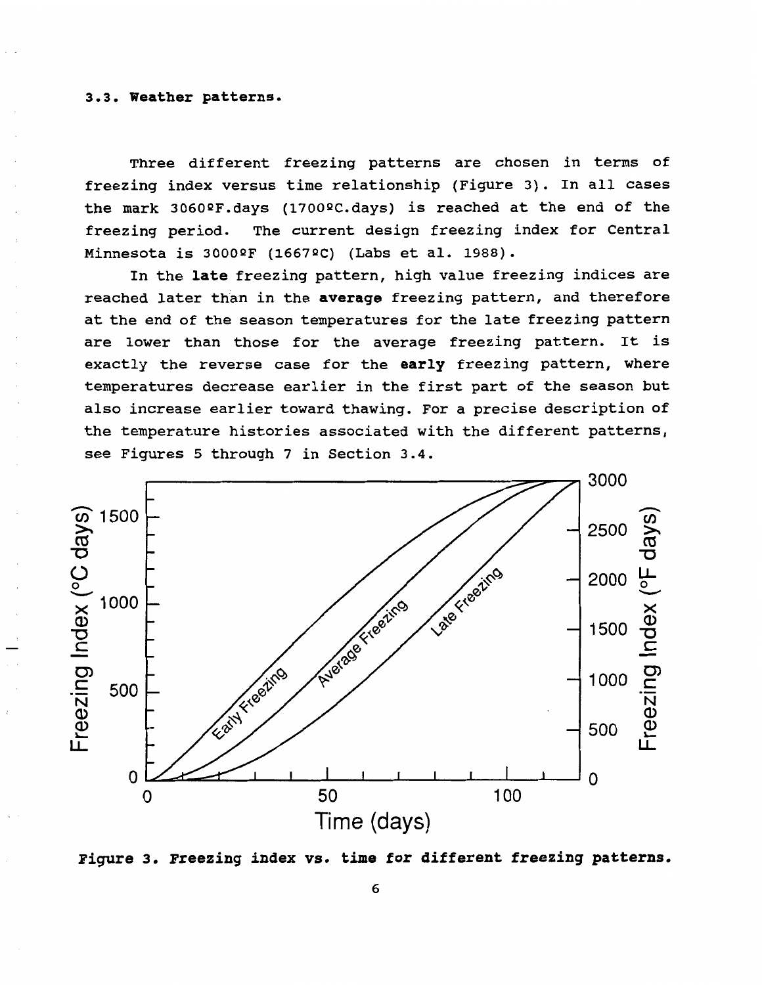## **3.3. Weather patterns.**

Three different freezing patterns are chosen in terms of freezing index versus time relationship (Figure 3). In all cases the mark 3060ºF.days (1700ºC.days) is reached at the end of the freezing period. The current design freezing index for Central Minnesota is 3000ºF (1667ºC) (Labs et al. 1988).

In the **late** freezing pattern, high value freezing indices are reached later than in the **average** freezing pattern, and therefore at the end of the season temperatures for the late freezing pattern are lower than those for the average freezing pattern. It is exactly the reverse case for the **early** freezing pattern, where temperatures decrease earlier in the first part of the season but also increase earlier toward thawing. For a precise description of the temperature histories associated with the different patterns, see Figures 5 through 7 in Section 3.4.



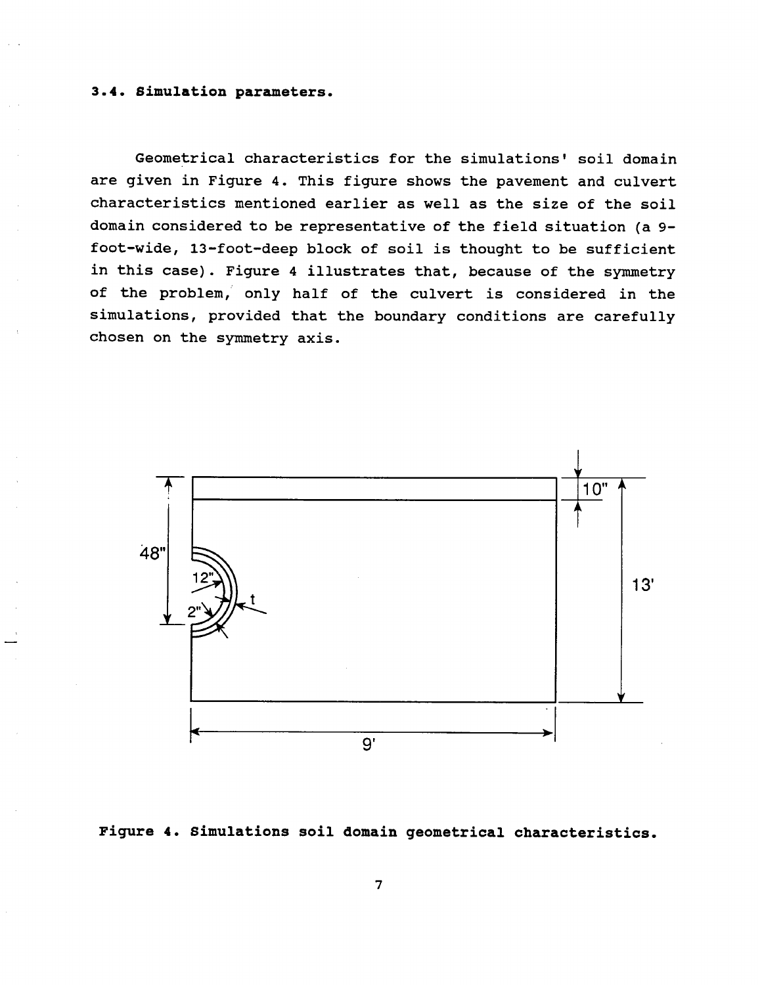# **3.4. Bimulation parameters.**

Geometrical characteristics for the simulations' soil domain are given in Figure 4. This figure shows the pavement and culvert characteristics mentioned earlier as well as the size of the soil domain considered to be representative of the field situation (a **9**  foot-wide, 13-foot-deep block of soil is thought to be sufficient in this case). Figure 4 illustrates that, because of the symmetry of the problem, only half of the culvert is considered in the simulations, provided that the boundary conditions are carefully chosen on the symmetry axis.





 $\overline{7}$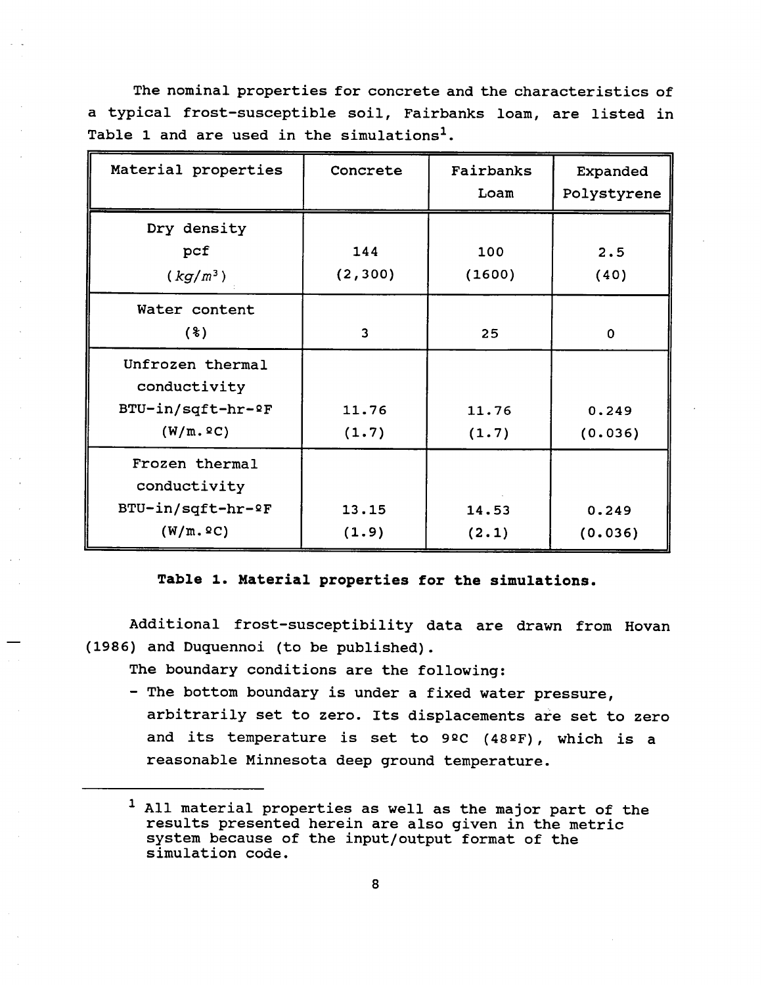The nominal properties for concrete and the characteristics of a typical frost-susceptible soil, Fairbanks loam, are listed in Table 1 and are used in the simulations<sup>1</sup>.

| Material properties                | Concrete       | Fairbanks<br>Loam | Expanded<br>Polystyrene |  |
|------------------------------------|----------------|-------------------|-------------------------|--|
| Dry density<br>pcf                 | 144            | 100               | 2.5                     |  |
| $\left(\frac{kg}{m^3}\right)$      | (2, 300)       | (1600)            | (40)                    |  |
| Water content<br>(3)               | 3              | 25                | $\mathbf 0$             |  |
| Unfrozen thermal<br>conductivity   |                |                   |                         |  |
| BTU-in/sqft-hr-ºF                  | 11.76          | 11.76             | 0.249                   |  |
| $(W/m.$ $2C)$                      | (1.7)          | (1.7)             | (0.036)                 |  |
| Frozen thermal<br>conductivity     |                |                   |                         |  |
| BTU-in/sqft-hr-ºF<br>$(W/m.$ $2C)$ | 13.15<br>(1.9) | 14.53<br>(2.1)    | 0.249<br>(0.036)        |  |

#### **Table 1. Material properties for the simulations.**

Additional frost-susceptibility data are drawn from Hovan (1986) and Duquennoi (to be published) .

The boundary conditions are the following:

- The bottom boundary is under a fixed water pressure, arbitrarily set to zero. Its displacements are set to zero and its temperature is set to 9ºC (48ºF), which is a reasonable Minnesota deep ground temperature.

All material properties as well as the major part of the results presented herein are also given in the metric system because of the input/output format of the simulation code.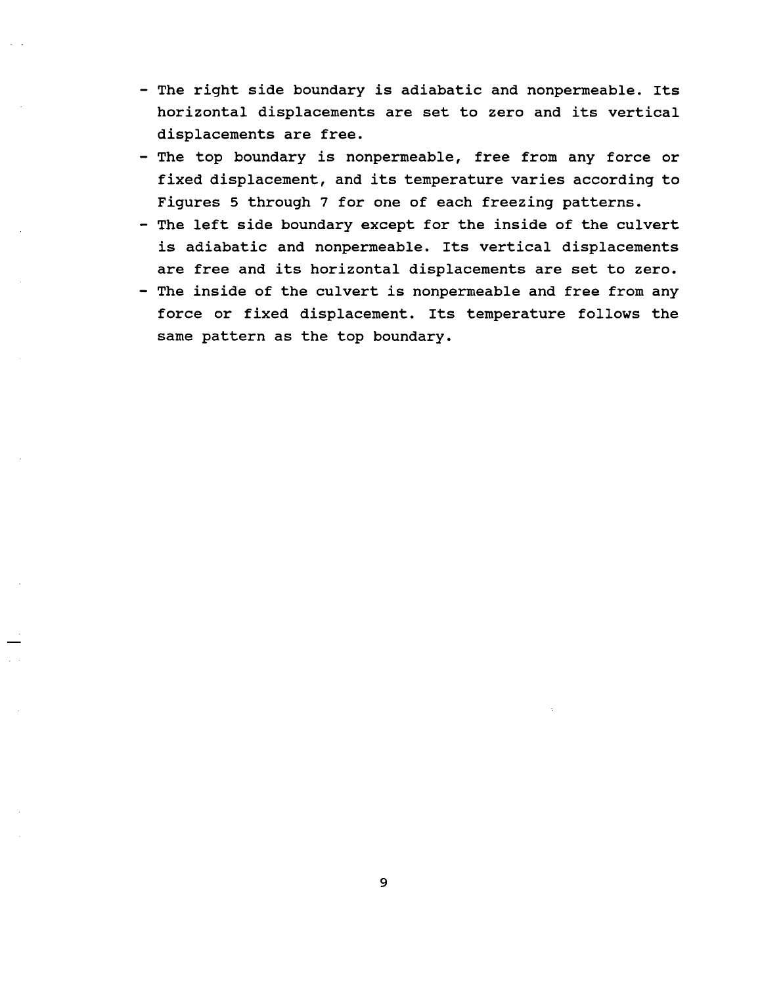- **The right side boundary is adiabatic and nonpermeable. Its horizontal displacements are set to zero and its vertical displacements are free.**
- **The top boundary is nonpermeable, free from any force or fixed displacement, and its temperature varies according to Figures 5 through 7 for one of each freezing patterns.**
- **The left side boundary except for the inside of the culvert is adiabatic and nonpermeable. Its vertical displacements are free and its horizontal displacements are set to zero.**
- **The inside of the culvert is nonpermeable and free from any force or fixed displacement. Its temperature follows the same pattern as the top boundary.**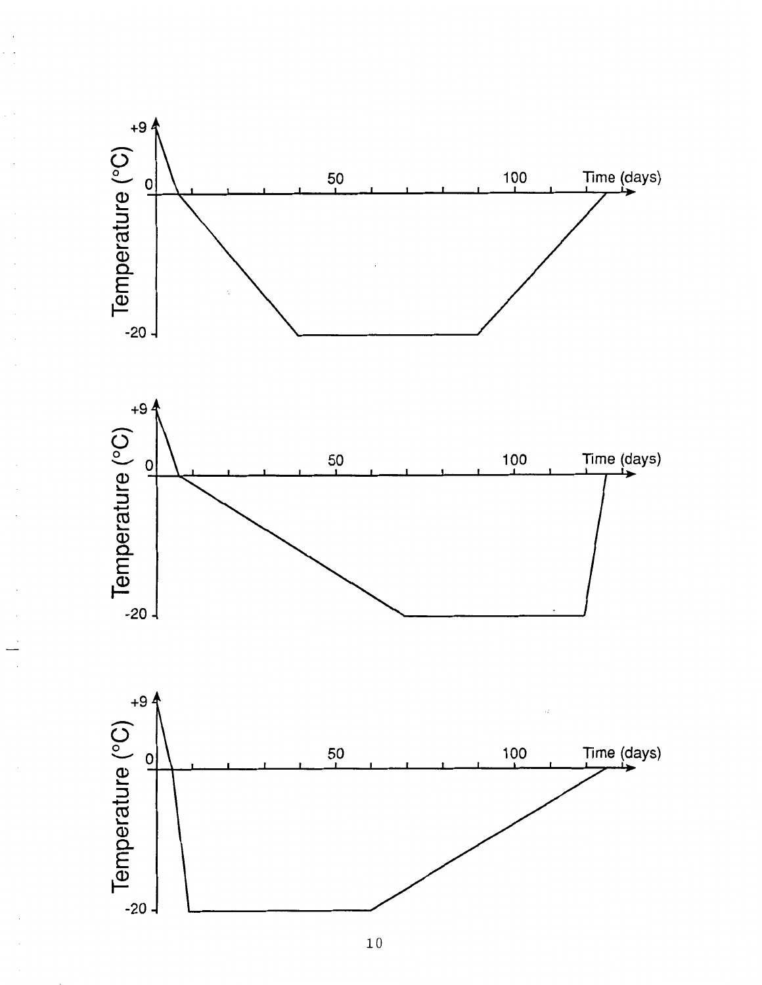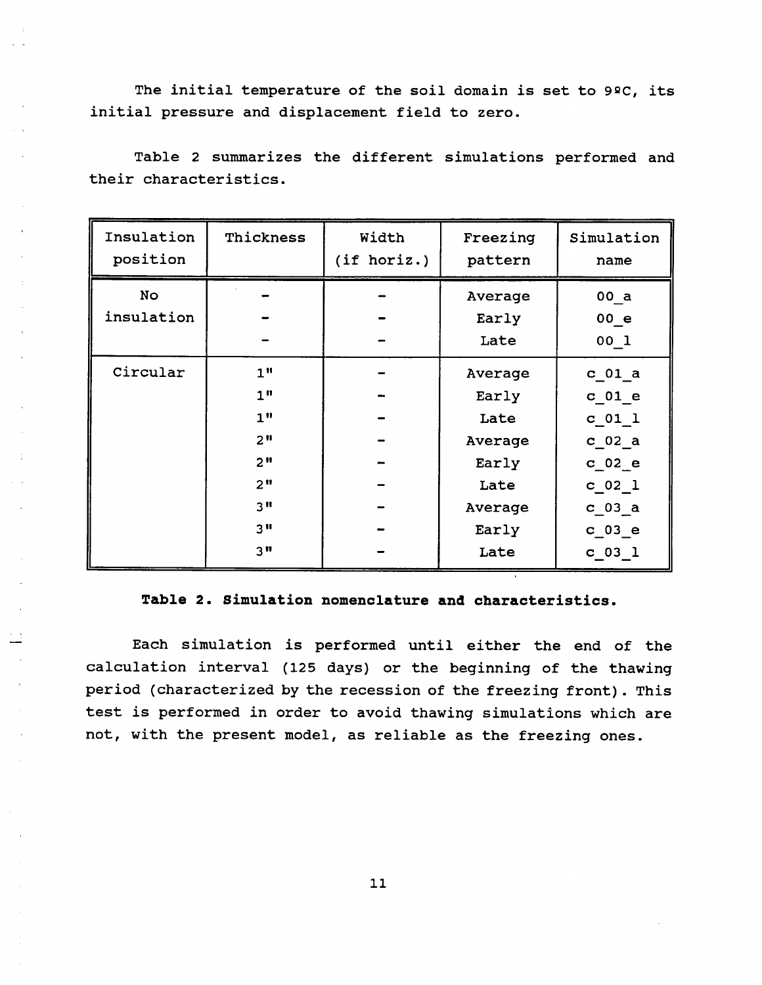The initial temperature of the soil domain is set to 9ºC, its initial pressure and displacement field to zero.

|  |                        |  | Table 2 summarizes the different simulations performed and |  |
|--|------------------------|--|------------------------------------------------------------|--|
|  | their characteristics. |  |                                                            |  |

| Insulation<br>position | Thickness                                                                                                                                                                    | Width<br>(if horiz.) | Freezing<br>pattern                                                              | Simulation<br>name                                                                                               |
|------------------------|------------------------------------------------------------------------------------------------------------------------------------------------------------------------------|----------------------|----------------------------------------------------------------------------------|------------------------------------------------------------------------------------------------------------------|
| No<br>insulation       |                                                                                                                                                                              |                      | Average<br>Early<br>Late                                                         | 00 a<br>00 e<br>00 1                                                                                             |
| Circular               | 1 <sup>11</sup><br>1 <sup>n</sup><br>1 <sup>11</sup><br>2 <sup>11</sup><br>2 <sup>11</sup><br>2 <sup>11</sup><br>3 <sup>ii</sup><br>$3^{\prime\prime}$<br>$3^{\prime\prime}$ |                      | Average<br>Early<br>Late<br>Average<br>Early<br>Late<br>Average<br>Early<br>Late | $c$ 01 a<br>$c$ 01 $e$<br>$c$ 01 l<br>$c$ 02 a<br>$c$ 02 $e$<br>$c$ 02 $1$<br>$c$ 03 $a$<br>c 03 e<br>$c$ 03 $1$ |

# Table 2. Simulation nomenclature and characteristics.

Each simulation is performed until either the end of the calculation interval (125 days) or the beginning of the thawing period (characterized by the recession of the freezing front). This test is performed in order to avoid thawing simulations which are not, with the present model, as reliable as the freezing ones.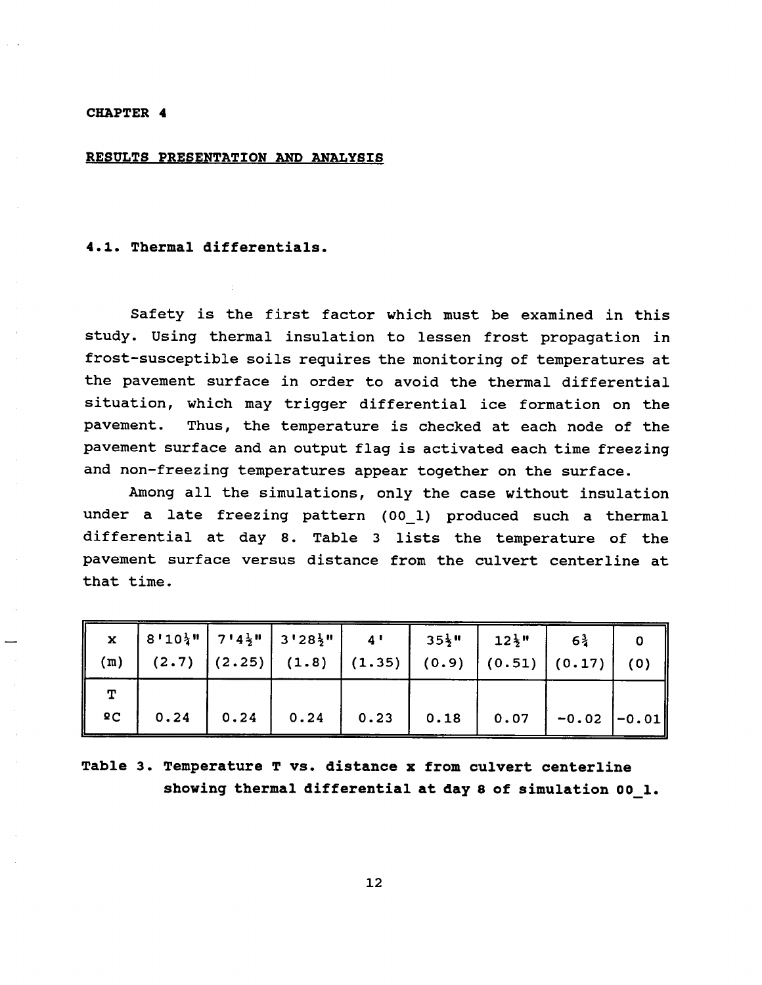**CHAPTER 4** 

# **RESULTS PRESENTATION AND ANALYSIS**

## **4.1. Thermal differentials.**

**Safety is the first factor which must be examined in this study. Using thermal insulation to lessen frost propagation in frost-susceptible soils requires the monitoring of temperatures at the pavement surface in order to avoid the thermal differential situation, which may trigger differential ice formation on the pavement. Thus, the temperature is checked at each node of the pavement surface and an output flag is activated each time freezing and non-freezing temperatures appear together on the surface.** 

**Among all the simulations, only the case without insulation**  under a late freezing pattern (00\_1) produced such a thermal **differential at day 8. Table 3 lists the temperature of the pavement surface versus distance from the culvert centerline at that time.** 

| (m)       | $x$   8'10' <sup>2</sup> "   7'4' <sup>2</sup> "   3'28' <sup>2</sup> "   4'   35 <sup>1</sup> <sup>2</sup> "   12' <sup>2</sup> "  <br>$(2.7)$ $(2.25)$ $(1.8)$ $(1.35)$ $(0.9)$ $(0.51)$ $(0.17)$ $(0)$ |                                                          |  | $6\frac{3}{4}$ |  |
|-----------|-----------------------------------------------------------------------------------------------------------------------------------------------------------------------------------------------------------|----------------------------------------------------------|--|----------------|--|
| ጥ<br>∥ ºC |                                                                                                                                                                                                           | $0.24$   0.24   0.24   0.23   0.18   0.07   -0.02  -0.01 |  |                |  |

**Table 3. Temperature T vs. distance x from culvert centerline**  showing thermal differential at day 8 of simulation 00 1.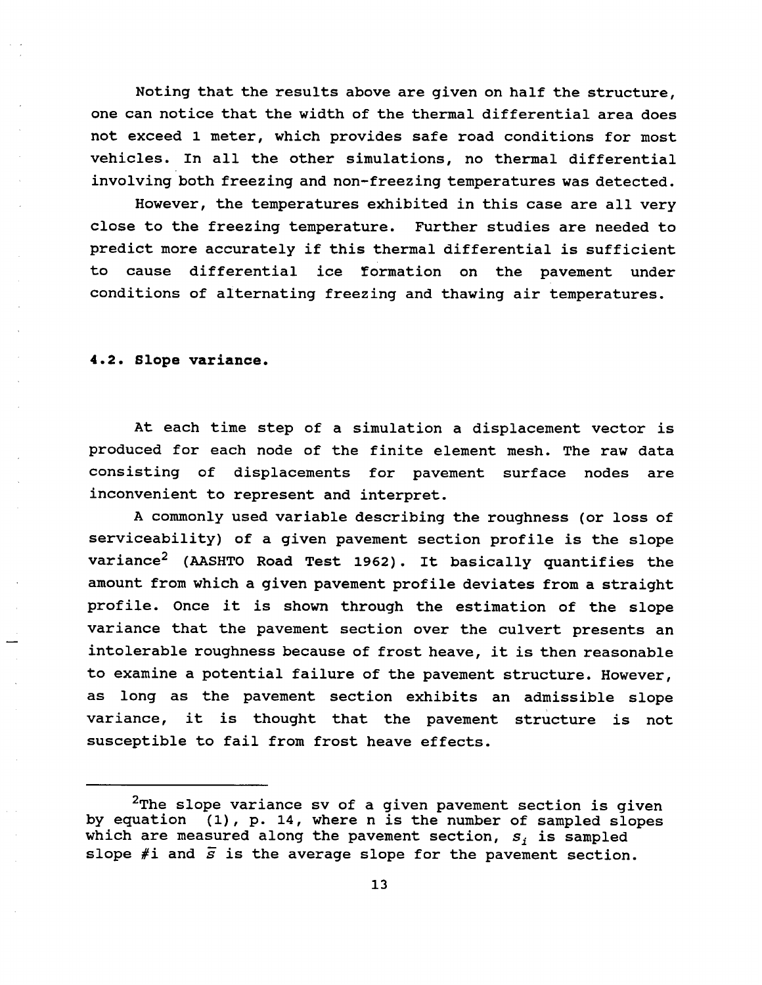Noting that the results above are given on half the structure, one can notice that the width of the thermal differential area does not exceed 1 meter, which provides safe road conditions for most vehicles. In all the other simulations, no thermal differential involving both freezing and non-freezing temperatures was detected.

However, the temperatures exhibited in this case are all very close to the freezing temperature. Further studies are needed to predict more accurately if this thermal differential is sufficient to cause differential ice formation on the pavement under conditions of alternating freezing and thawing air temperatures.

**4.2. Slope variance.** 

At each time step of a simulation a displacement vector is produced for each node of the finite element mesh. The raw data consisting of displacements for pavement surface nodes are inconvenient to represent and interpret.

A commonly used variable describing the roughness (or loss of serviceability) of a given pavement section profile is the slope variance2 (AASHTO Road Test 1962) . It basically quantifies the amount from which a given pavement profile deviates from a straight profile. Once it is shown through the estimation of the slope variance that the pavement section over the culvert presents an intolerable roughness because of frost heave, it is then reasonable to examine a potential failure of the pavement structure. However, as long as the pavement section exhibits an admissible slope variance, it is thought that the pavement structure is not susceptible to fail from frost heave effects.

 $2$ The slope variance sv of a given pavement section is given by equation (I), p. 14, where n is the number of sampled slopes which are measured along the pavement section,  $s_i$  is sampled slope #i and  $\bar{s}$  is the average slope for the pavement section.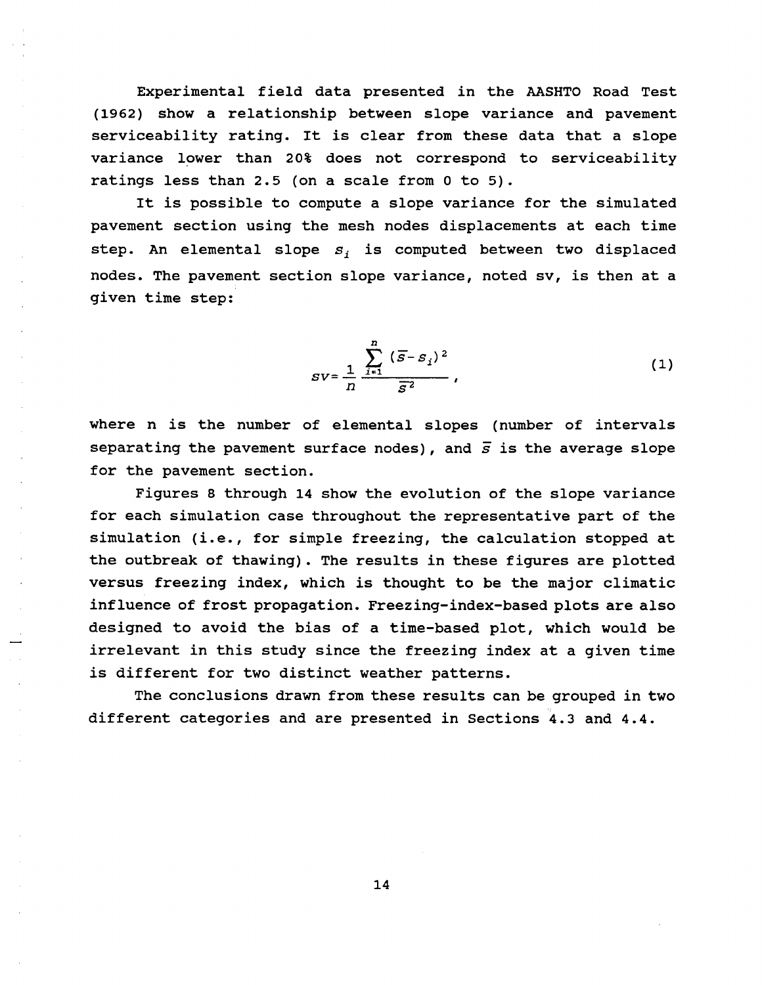**Experimental field data presented in the AASHTO Road Test (1962) show a relationship between slope variance and pavement serviceability rating. It is clear from these data that a slope variance lower than 20% does not correspond to serviceability ratings less than 2.5 (on a scale from 0 to 5).** 

**It is possible to compute a slope variance for the simulated pavement section using the mesh nodes displacements at each time**  step. An elemental slope  $s_i$  is computed between two displaced **nodes. The pavement section slope variance, noted sv, is then at a given time step:** 

$$
SV = \frac{1}{n} \frac{\sum_{i=1}^{n} (\bar{s} - s_i)^2}{\bar{s}^2},
$$
 (1)

**where n is the number of elemental slopes (number of intervals**  separating the pavement surface nodes), and  $\vec{s}$  is the average slope **for the pavement section.** 

**Figures 8 through 14 show the evolution of the slope variance for each simulation case throughout the representative part of the simulation (i.e., for simple freezing, the calculation stopped at the outbreak of thawing). The results in these figures are plotted versus freezing index, which is thought to be the major climatic influence of frost propagation. Freezing-index-based plots are also designed to avoid the bias of a time-based plot, which would be irrelevant in this study since the freezing index at a given time is different for two distinct weather patterns.** 

**The conclusions drawn from these results can be grouped in two different categories and are presented in Sections 4.3 and 4.4.**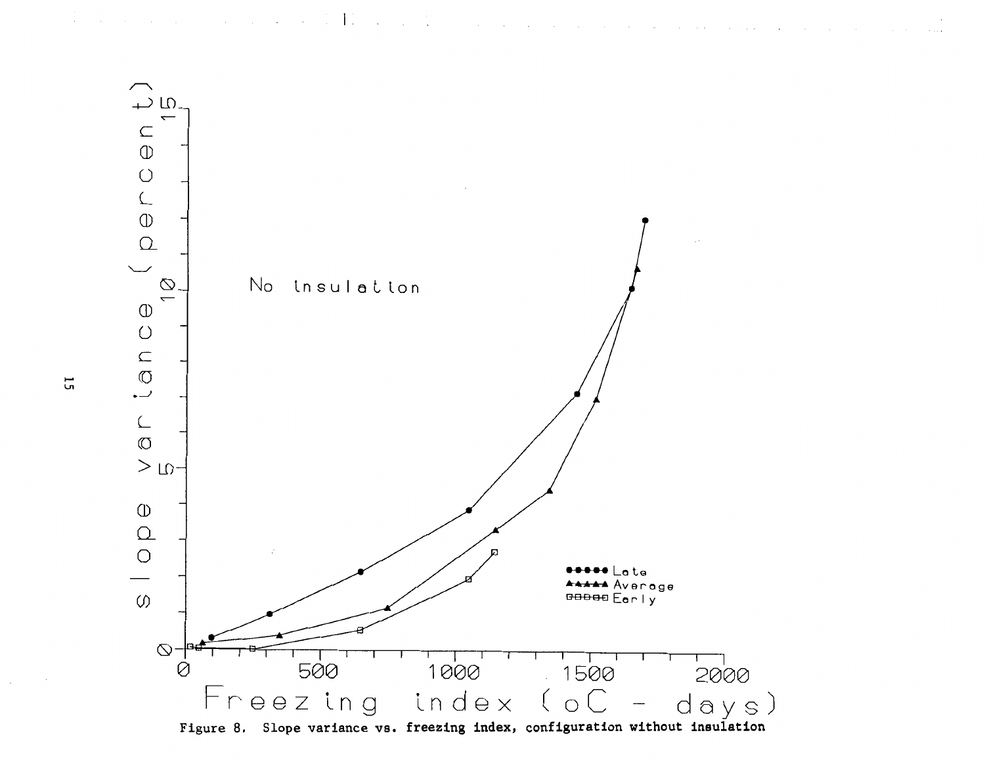

 $\mathcal{L}_{\mathcal{A}}$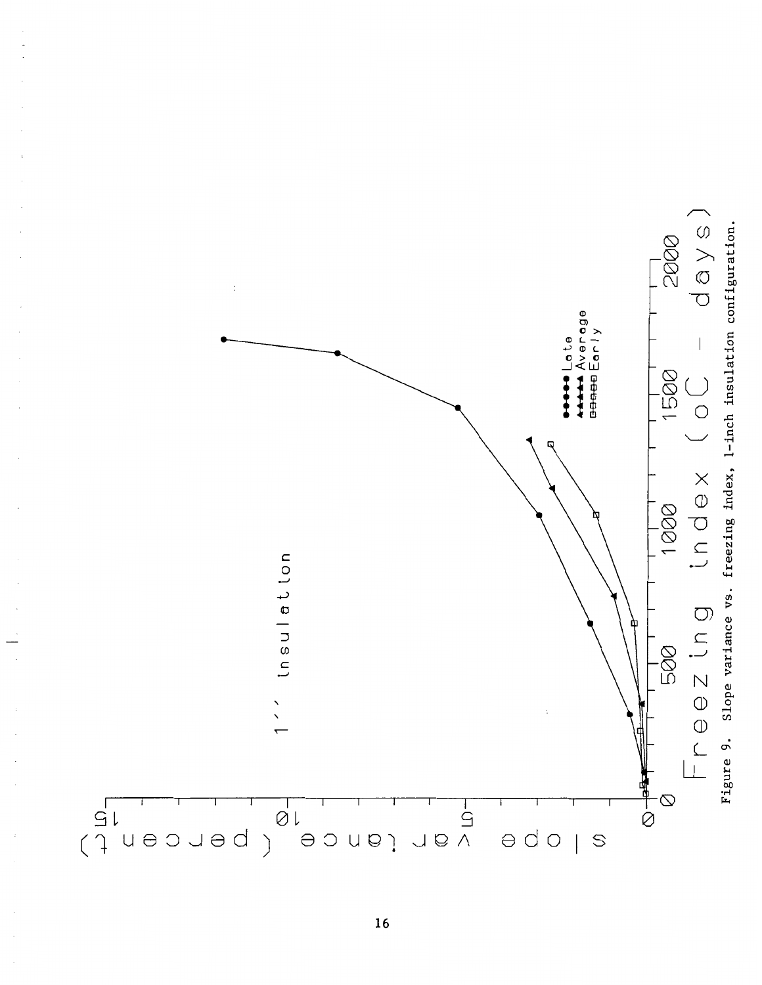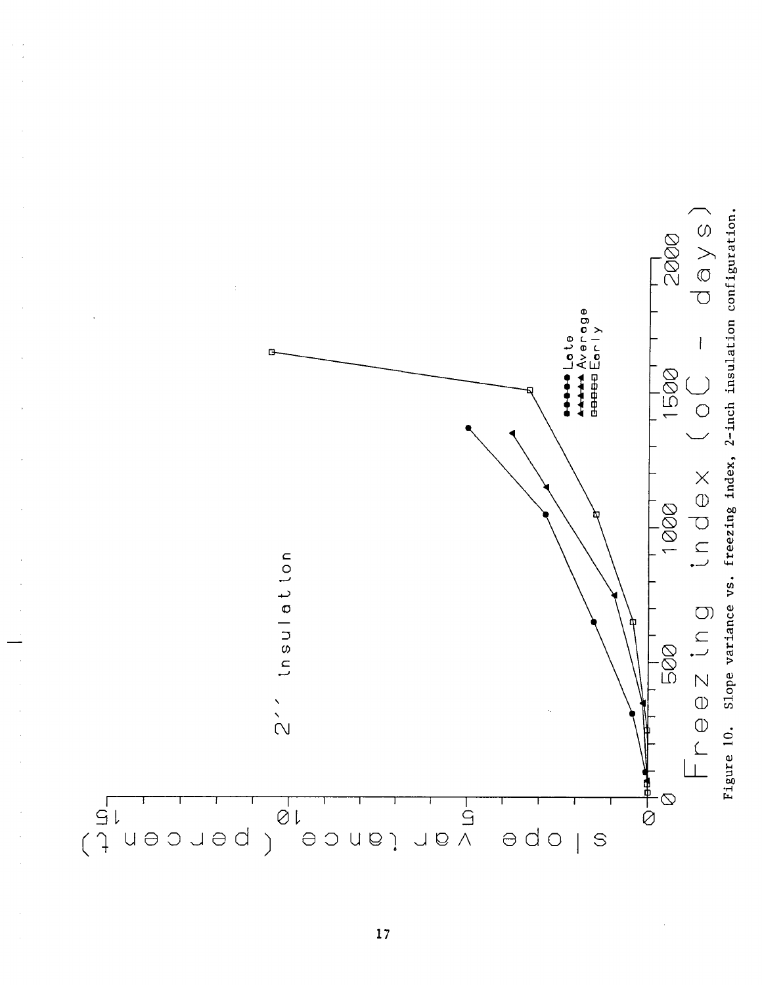

 $\frac{17}{2}$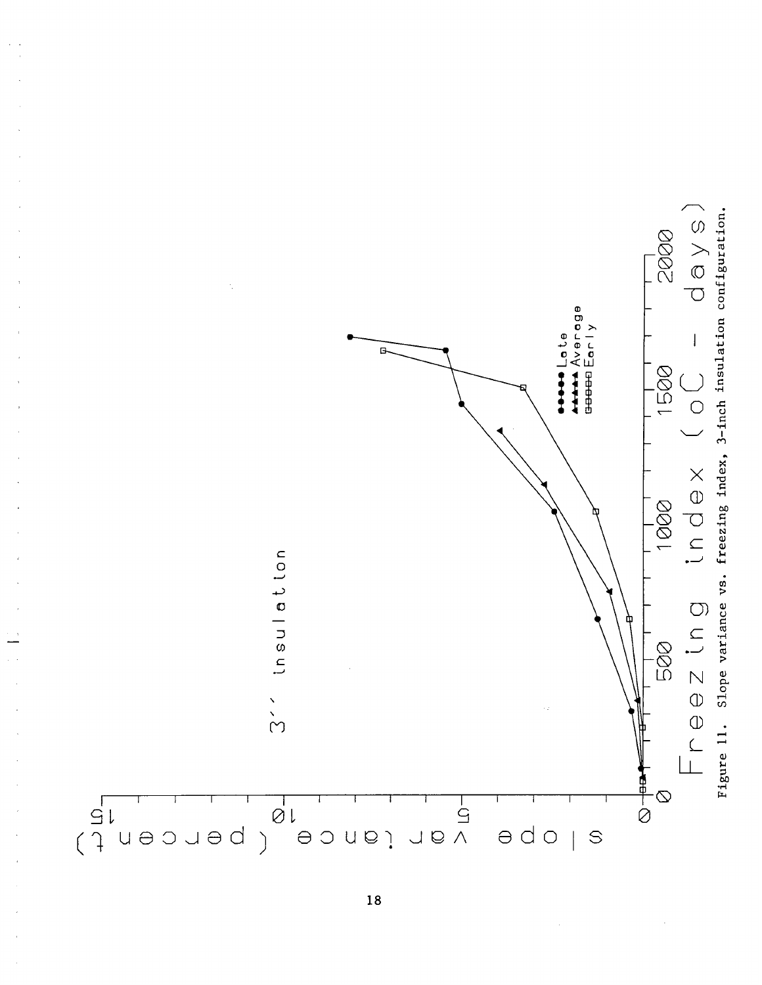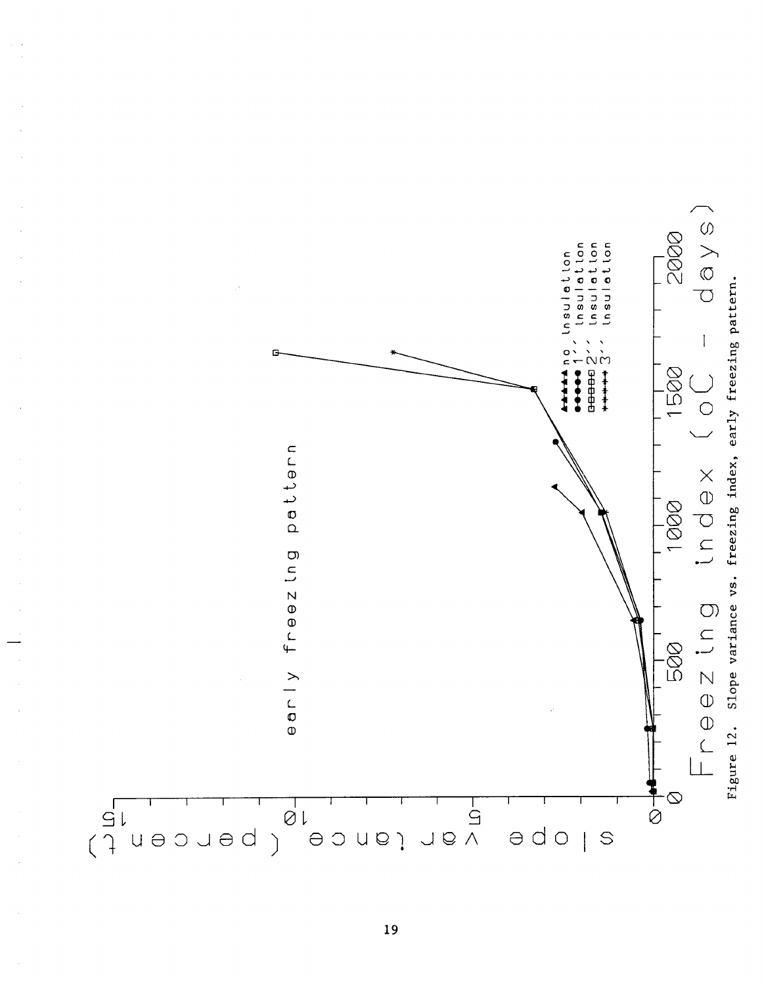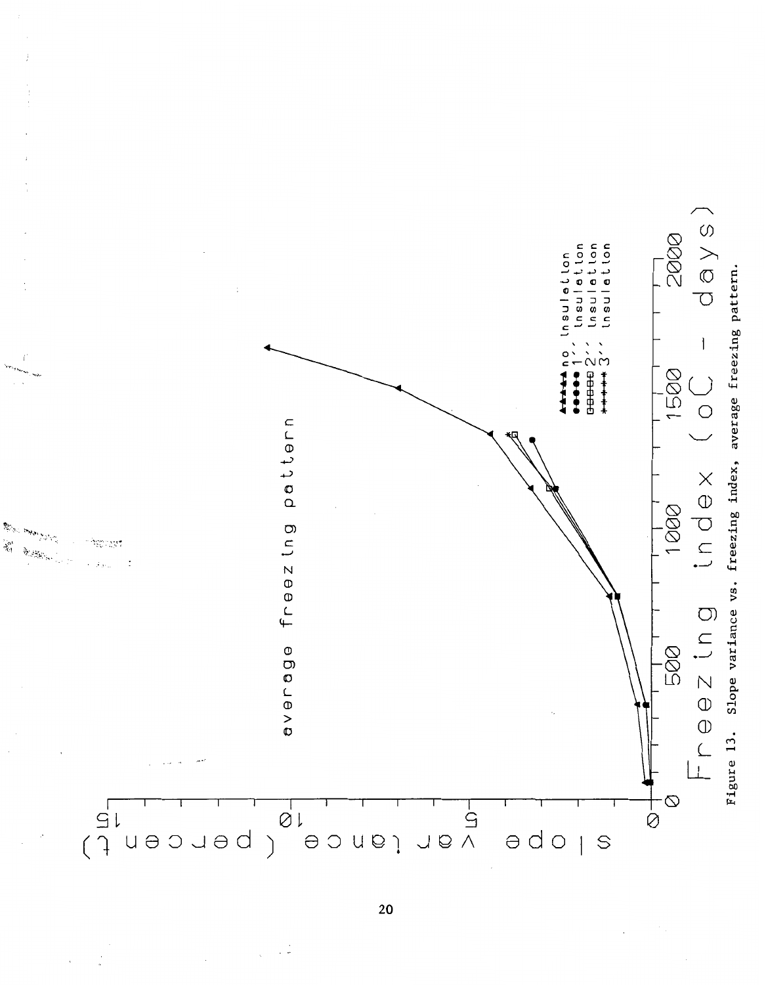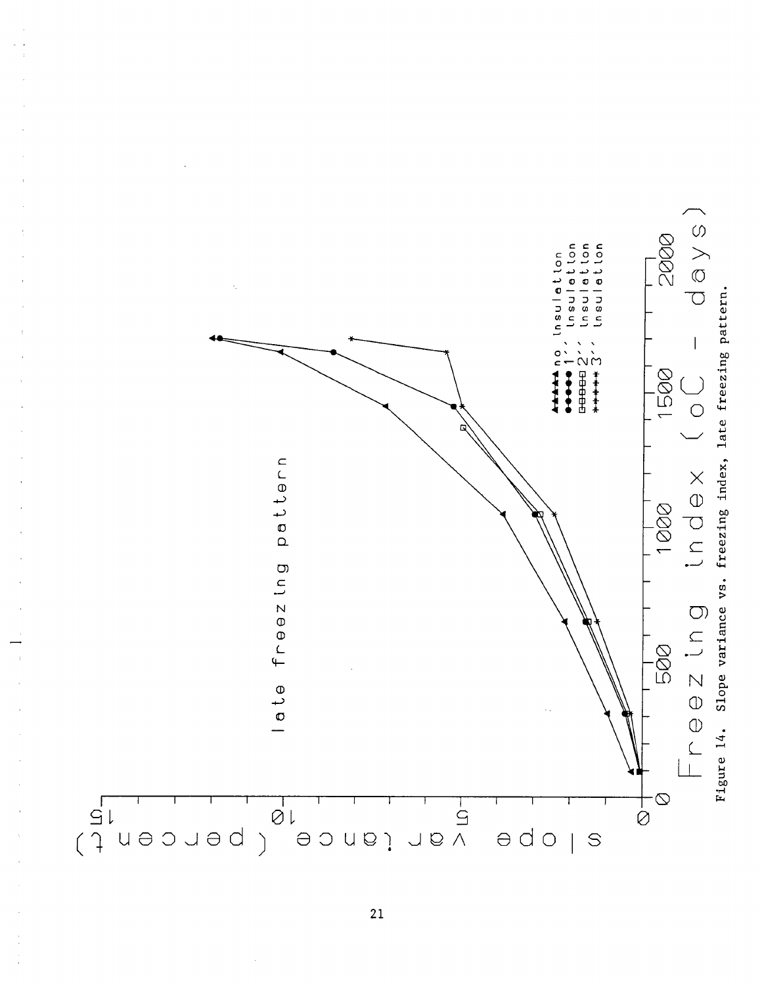

 $\overline{21}$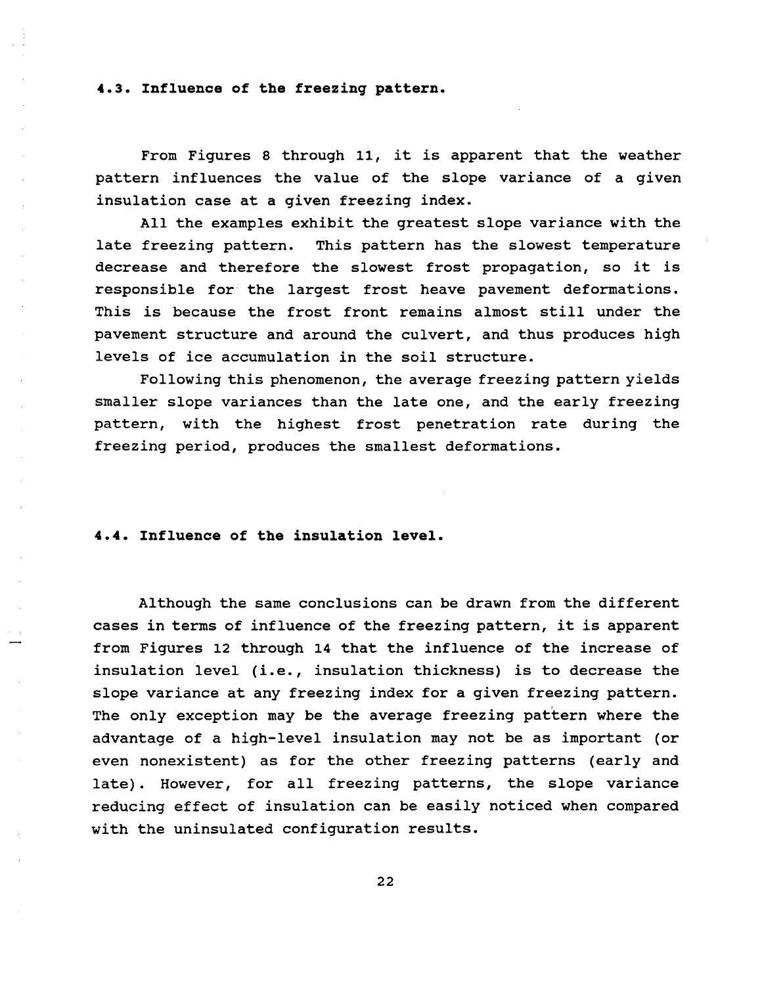# **4.3. Influence of the freezing pattern.**

From Figures 8 through 11, it is apparent that the weather pattern influences the value of the slope variance of a given insulation case at a given freezing index.

All the examples exhibit the greatest slope variance with the late freezing pattern. This pattern has the slowest temperature decrease and therefore the slowest frost propagation, so it is responsible for the largest frost heave pavement deformations. This is because the frost front remains almost still under the pavement structure and around the culvert, and thus produces high levels of ice accumulation in the soil structure.

Following this phenomenon, the average freezing pattern yields smaller slope variances than the late one, and the early freezing pattern, with the highest frost penetration rate during the freezing period, produces the smallest deformations.

**4.4. Influence of the insulation level.** 

Although the same conclusions can be drawn from the different cases in terms of influence of the freezing pattern, it is apparent from Figures 12 through 14 that the influence of the increase of insulation level (i.e., insulation thickness) is to decrease the slope variance at any freezing index for a given freezing pattern. The only exception may be the average freezing pattern where the advantage of a high-level insulation may not be as important (or even nonexistent) as for the other freezing patterns (early and late). However, for all freezing patterns, the slope variance reducing effect of insulation can be easily noticed when compared with the uninsulated configuration results.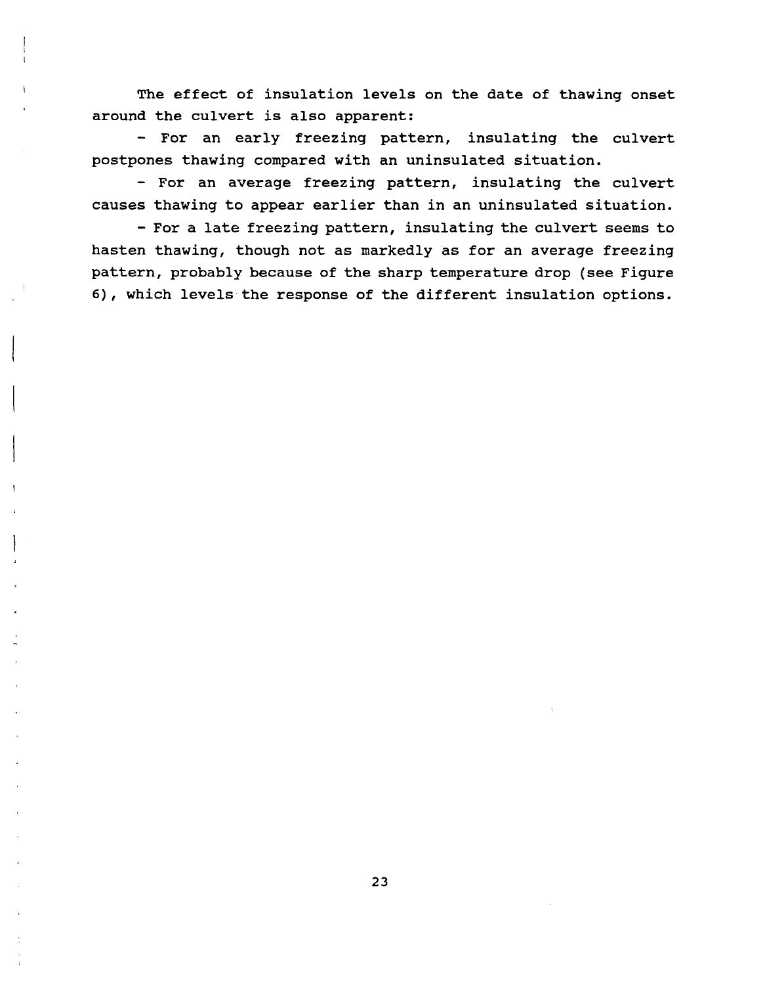The effect of insulation levels on the date of thawing onset around the culvert is also apparent:

- For an early freezing pattern, insulating the culvert postpones thawing compared with an uninsulated situation.

- For an average freezing pattern, insulating the culvert causes thawing to appear earlier than in an uninsulated situation.

- For a late freezing pattern, insulating the culvert seems to hasten thawing, though not as markedly as for an average freezing pattern, probably because of the sharp temperature drop (see Figure **6),** which levels the response of the different insulation options.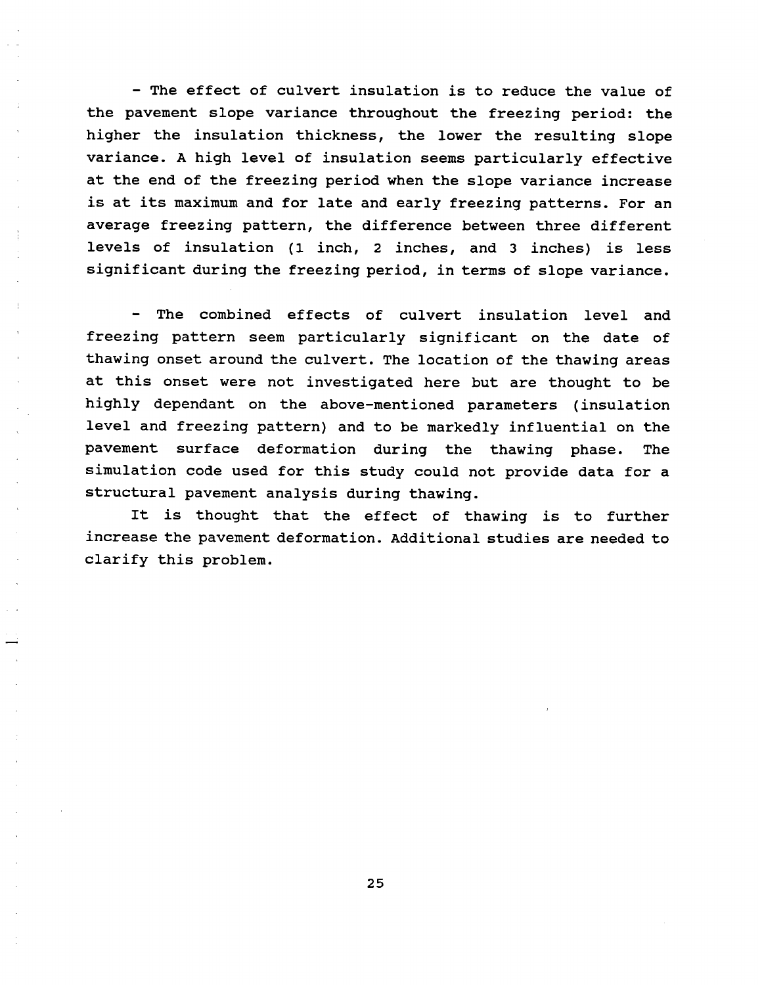- The effect of culvert insulation is to reduce the value of the pavement slope variance throughout the freezing period: the higher the insulation thickness, the lower the resulting slope variance. A high level of insulation seems particularly effective at the end of the freezing period when the slope variance increase is at its maximum and for late and early freezing patterns. For an average freezing pattern, the difference between three different levels of insulation (1 inch, 2 inches, and 3 inches) is less significant during the freezing period, in terms of slope variance.

The combined effects of culvert insulation level and freezing pattern seem particularly significant on the date of thawing onset around the culvert. The location of the thawing areas at this onset were not investigated here but are thought to be highly dependant on the above-mentioned parameters (insulation level and freezing pattern) and to be markedly influential on the pavement surface deformation during the thawing phase. The simulation code used for this study could not provide data for a structural pavement analysis during thawing.

It is thought that the effect of thawing is to further increase the pavement deformation. Additional studies are needed to clarify this problem.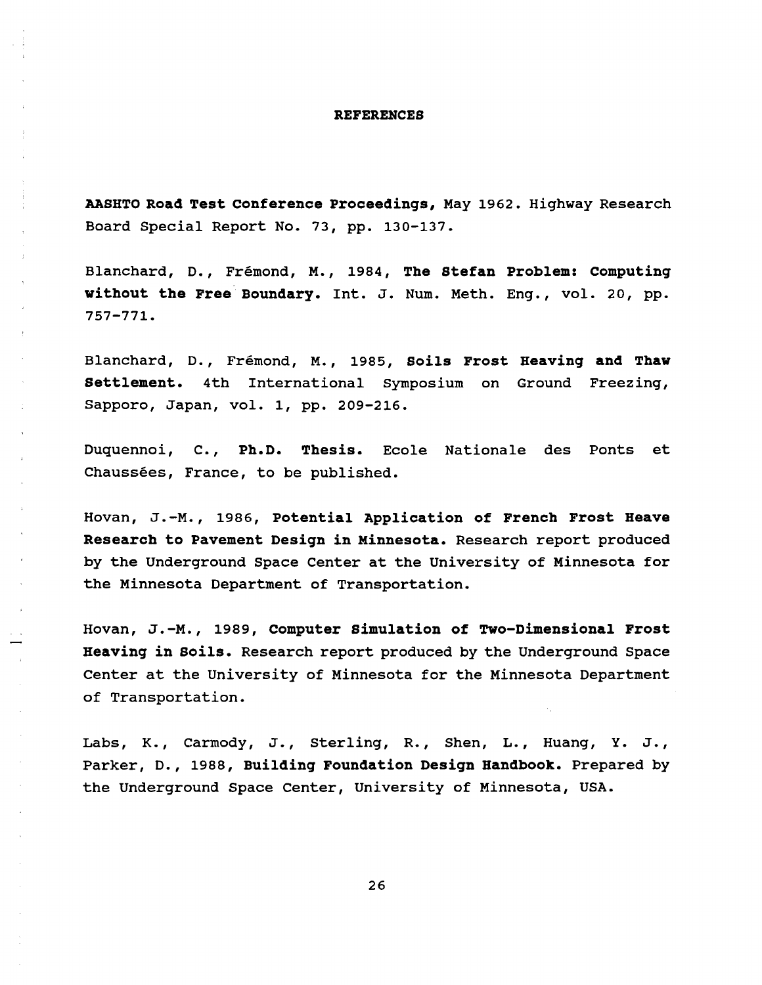#### **REFERENCES**

**AASHTO Road Test Conference Proceedings, May 1962. Highway Research Board Special Report No. 73, pp. 130-137.** 

Blanchard, D., Frémond, M., 1984, The Stefan Problem: Computing **without the Free' Boundary. Int. J. Num. Meth. Eng., vol. 20, pp. 757-771.** 

Blanchard, D., Frémond, M., 1985, Soils Frost Heaving and Thaw **Settlement. 4th International symposium on Ground Freezing, Sapporo, Japan, vol. 1, pp. 209-216.** 

**Duquennoi, C., Ph.D. Thesis. Ecole Nationale des Ponts et**  Chaussées, France, to be published.

**Hovan, J.-M., 1986, Potential Application of French Frost Heave Research to Pavement Design in Minnesota. Research report produced by the Underground Space Center at the University of Minnesota for the Minnesota Department of Transportation.** 

**Hovan, J.-M., 1989, Computer Simulation of Two-Dimensional Frost Heaving in Boils. Research report produced by the Underground Space Center at the University of Minnesota for the Minnesota Department of Transportation.** 

**Labs, K., Carmody, J., Sterling, R., Shen, L., Huang, Y. J., Parker, D., 1988, Building Foundation Design Handbook. Prepared by the Underground Space Center, University of Minnesota, USA.**